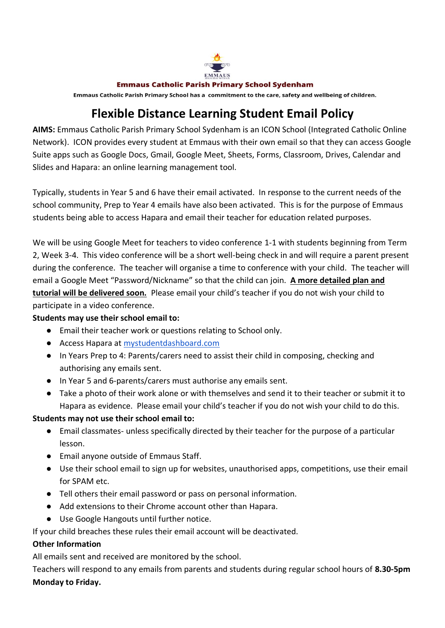

#### **Emmaus Catholic Parish Primary School Sydenham**

Emmaus Catholic Parish Primary School has a commitment to the care, safety and wellbeing of children.

## **Flexible Distance Learning Student Email Policy**

**AIMS:** Emmaus Catholic Parish Primary School Sydenham is an ICON School (Integrated Catholic Online Network). ICON provides every student at Emmaus with their own email so that they can access Google Suite apps such as Google Docs, Gmail, Google Meet, Sheets, Forms, Classroom, Drives, Calendar and Slides and Hapara: an online learning management tool.

Typically, students in Year 5 and 6 have their email activated. In response to the current needs of the school community, Prep to Year 4 emails have also been activated. This is for the purpose of Emmaus students being able to access Hapara and email their teacher for education related purposes.

We will be using Google Meet for teachers to video conference 1-1 with students beginning from Term 2, Week 3-4. This video conference will be a short well-being check in and will require a parent present during the conference. The teacher will organise a time to conference with your child. The teacher will email a Google Meet "Password/Nickname" so that the child can join. **A more detailed plan and tutorial will be delivered soon.** Please email your child's teacher if you do not wish your child to participate in a video conference.

#### **Students may use their school email to:**

- Email their teacher work or questions relating to School only.
- Access Hapara at [mystudentdashboard.com](https://mystudentdashboard.com/)
- In Years Prep to 4: Parents/carers need to assist their child in composing, checking and authorising any emails sent.
- In Year 5 and 6-parents/carers must authorise any emails sent.
- Take a photo of their work alone or with themselves and send it to their teacher or submit it to Hapara as evidence. Please email your child's teacher if you do not wish your child to do this.

#### **Students may not use their school email to:**

- Email classmates- unless specifically directed by their teacher for the purpose of a particular lesson.
- Email anyone outside of Emmaus Staff.
- Use their school email to sign up for websites, unauthorised apps, competitions, use their email for SPAM etc.
- Tell others their email password or pass on personal information.
- Add extensions to their Chrome account other than Hapara.
- Use Google Hangouts until further notice.

If your child breaches these rules their email account will be deactivated.

#### **Other Information**

All emails sent and received are monitored by the school.

Teachers will respond to any emails from parents and students during regular school hours of **8.30-5pm Monday to Friday.**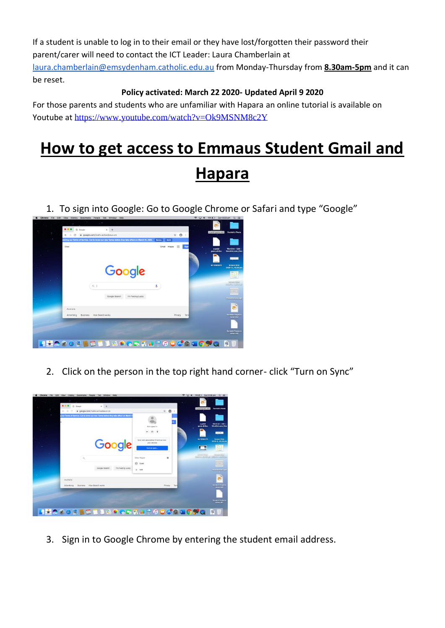If a student is unable to log in to their email or they have lost/forgotten their password their parent/carer will need to contact the ICT Leader: Laura Chamberlain at [laura.chamberlain@emsydenham.catholic.edu.au](mailto:laura.chamberlain@emsydenham.catholic.edu.au) from Monday-Thursday from **8.30am-5pm** and it can be reset.

### **Policy activated: March 22 2020- Updated April 9 2020**

For those parents and students who are unfamiliar with Hapara an online tutorial is available on Youtube at <https://www.youtube.com/watch?v=Ok9MSNM8c2Y>

# **How to get access to Emmaus Student Gmail and Hapara**

1. To sign into Google: Go to Google Chrome or Safari and type "Google"



2. Click on the person in the top right hand corner- click "Turn on Sync"



3. Sign in to Google Chrome by entering the student email address.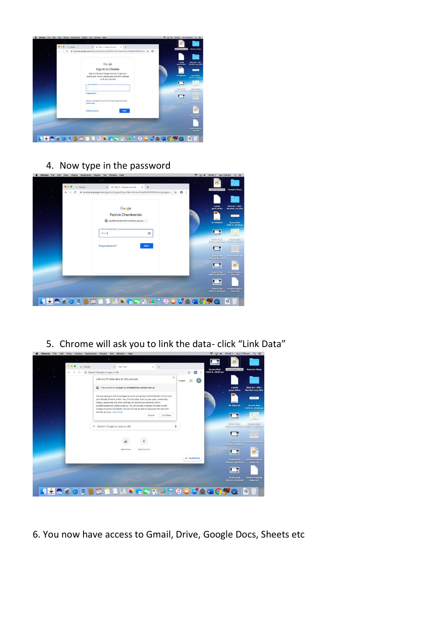

4. Now type in the password

| Chrome<br>File Edit View | Bookmarks People Tab Window Help<br>History                                             |             | <b>● □ ● 20% □ Sun7:00 pm Q 三</b>                                            |
|--------------------------|-----------------------------------------------------------------------------------------|-------------|------------------------------------------------------------------------------|
|                          | e e<br>G Google<br>G Sign in - Google accounts<br>$\infty$                              | $x +$       |                                                                              |
|                          | ■ accounts.google.com/signin/v2/sl/pwd?ssp=1&continue=https%3A%2F%2Fwww.google.c ☆<br>€ | $\theta$ :  | Patrick's Photo<br>a podd game.sb2                                           |
|                          |                                                                                         |             |                                                                              |
|                          | Google                                                                                  |             | Word Art - Edit -<br>a godd<br>game.dhfbu<br><b>WordArt.com_files</b>        |
|                          | Patrick Chamberlain<br>pc2@emsydenham.catholic.edu.au v                                 |             | CHECKS.                                                                      |
|                          |                                                                                         |             | Mr GIGGLES<br><b>Screen Shot</b><br>2020-045.08 pm                           |
|                          | - Erner your password -<br>********                                                     | $^{\circ}$  | <b>Street</b>                                                                |
|                          |                                                                                         |             | <b>ESSEAURO</b><br>Schedule Schedule Anni Printful O. (CORNETT)              |
|                          | Forgot password?                                                                        | <b>Next</b> |                                                                              |
|                          |                                                                                         |             | Screen Shot<br>Presentinion2 ppt<br>2020-0_58.48 pm                          |
|                          |                                                                                         |             | 穏                                                                            |
|                          |                                                                                         |             | <b>Screen Shot</b><br><b>Stratch Projects</b><br>7020-0 58.55 pm<br>move sb2 |
|                          |                                                                                         |             |                                                                              |
|                          |                                                                                         |             | Screen Shot<br><b>Scratch Projects</b><br>2020-0 59.49 pm<br>move.sb1        |
|                          |                                                                                         |             |                                                                              |
| FI ÷                     | <b>○?♡Ñ▌█▌▋░♦;●▓▛▟▞◑◑<del>₫</del>◙▦◘⋚</b> Q                                             |             | $\triangleright$                                                             |

5. Chrome will ask you to link the data- click "Link Data"



6. You now have access to Gmail, Drive, Google Docs, Sheets etc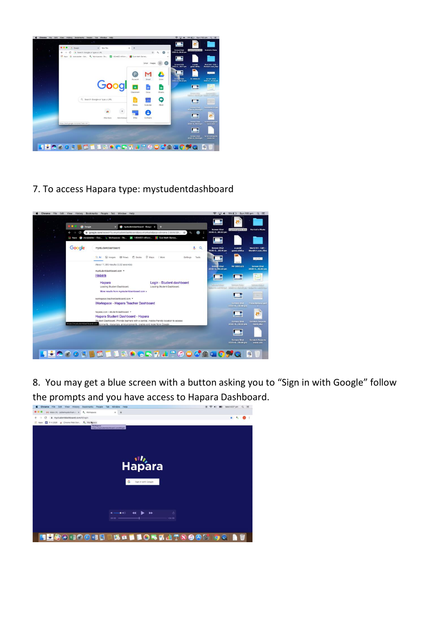

7. To access Hapara type: mystudentdashboard



8. You may get a blue screen with a button asking you to "Sign in with Google" follow the prompts and you have access to Hapara Dashboard.